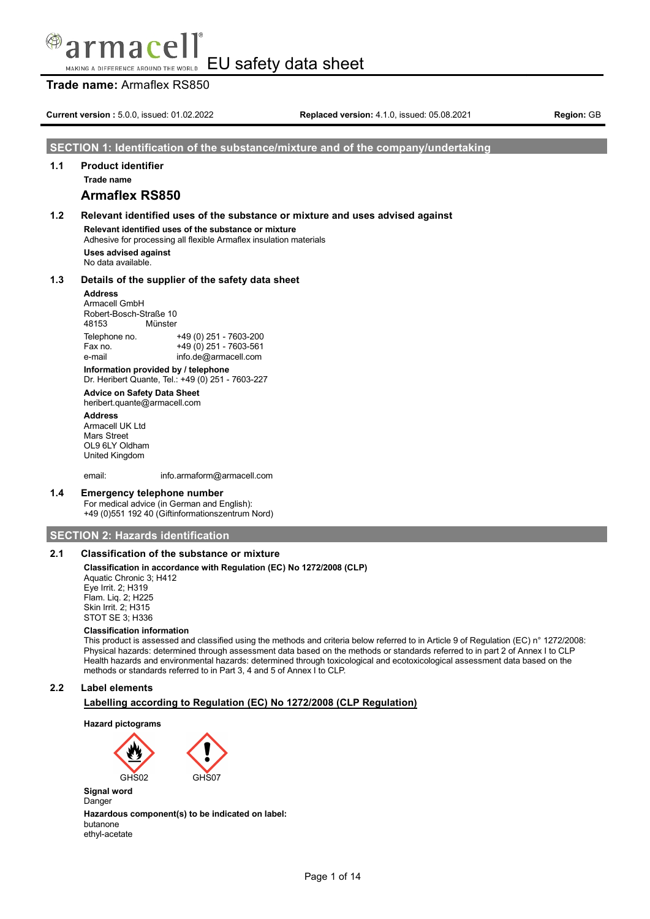### **Trade name:** Armaflex RS850

**Current version :** 5.0.0, issued: 01.02.2022 **Replaced version:** 4.1.0, issued: 05.08.2021 **Region:** GB

### **SECTION 1: Identification of the substance/mixture and of the company/undertaking**

### **1.1 Product identifier**

**Trade name**

### **Armaflex RS850**

### **1.2 Relevant identified uses of the substance or mixture and uses advised against Relevant identified uses of the substance or mixture** Adhesive for processing all flexible Armaflex insulation materials **Uses advised against**

No data available.

### **1.3 Details of the supplier of the safety data sheet**

#### **Address**

Armacell GmbH Robert-Bosch-Straße 10 48153 Münster Telephone no. +49 (0) 251 - 7603-200  $+49(0)$  251 - 7603-561 e-mail info.de@armacell.com

**Information provided by / telephone** Dr. Heribert Quante, Tel.: +49 (0) 251 - 7603-227

### **Advice on Safety Data Sheet**

heribert.quante@armacell.com

**Address** Armacell UK Ltd Mars Street OL9 6LY Oldham United Kingdom

email: info.armaform@armacell.com

### **1.4 Emergency telephone number**

For medical advice (in German and English): +49 (0)551 192 40 (Giftinformationszentrum Nord)

### **SECTION 2: Hazards identification**

### **2.1 Classification of the substance or mixture**

### **Classification in accordance with Regulation (EC) No 1272/2008 (CLP)**

Aquatic Chronic 3; H412 Eye Irrit. 2; H319 Flam. Liq. 2; H225 Skin Irrit. 2; H315 STOT SE 3; H336

### **Classification information**

This product is assessed and classified using the methods and criteria below referred to in Article 9 of Regulation (EC) n° 1272/2008: Physical hazards: determined through assessment data based on the methods or standards referred to in part 2 of Annex I to CLP Health hazards and environmental hazards: determined through toxicological and ecotoxicological assessment data based on the methods or standards referred to in Part 3, 4 and 5 of Annex I to CLP.

### **2.2 Label elements**

### **Labelling according to Regulation (EC) No 1272/2008 (CLP Regulation)**





**Signal word** Danger

**Hazardous component(s) to be indicated on label:** butanone ethyl-acetate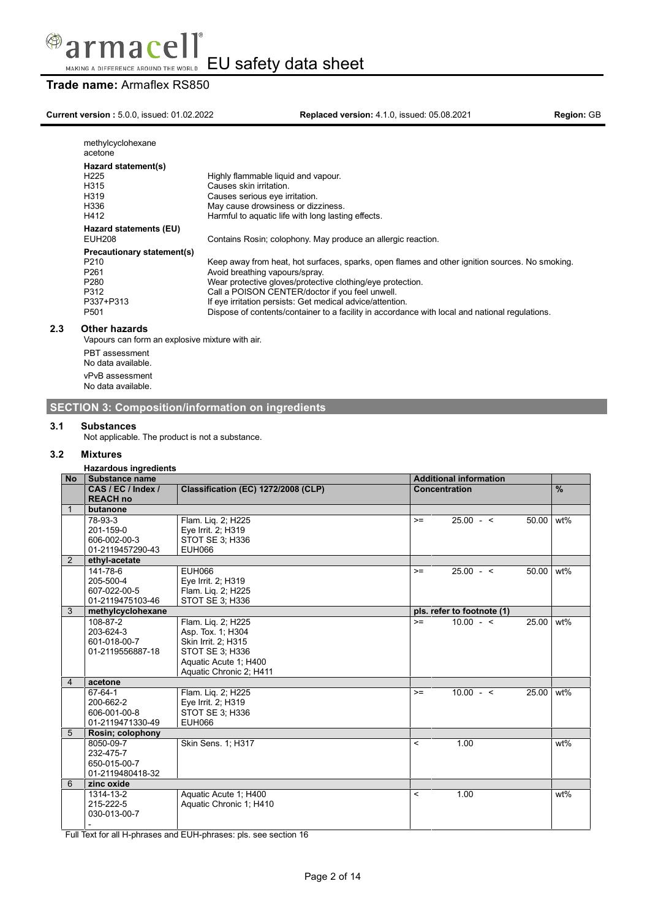

# **Trade name:** Armaflex RS850

**Current version :** 5.0.0, issued: 01.02.2022 **Replaced version:** 4.1.0, issued: 05.08.2021 **Region:** GB

| methylcyclohexane<br>acetone                                                                                                    |                                                                                                                                                                                                                                                                                                                                                                                                                  |
|---------------------------------------------------------------------------------------------------------------------------------|------------------------------------------------------------------------------------------------------------------------------------------------------------------------------------------------------------------------------------------------------------------------------------------------------------------------------------------------------------------------------------------------------------------|
| Hazard statement(s)<br>H <sub>225</sub>                                                                                         | Highly flammable liquid and vapour.                                                                                                                                                                                                                                                                                                                                                                              |
| H315<br>H319                                                                                                                    | Causes skin irritation.<br>Causes serious eye irritation.                                                                                                                                                                                                                                                                                                                                                        |
| H336<br>H412                                                                                                                    | May cause drowsiness or dizziness.<br>Harmful to aquatic life with long lasting effects.                                                                                                                                                                                                                                                                                                                         |
| Hazard statements (EU)<br>EUH208                                                                                                | Contains Rosin; colophony. May produce an allergic reaction.                                                                                                                                                                                                                                                                                                                                                     |
| Precautionary statement(s)<br>P <sub>210</sub><br>P <sub>261</sub><br>P <sub>280</sub><br>P312<br>P337+P313<br>P <sub>501</sub> | Keep away from heat, hot surfaces, sparks, open flames and other ignition sources. No smoking.<br>Avoid breathing vapours/spray.<br>Wear protective gloves/protective clothing/eye protection.<br>Call a POISON CENTER/doctor if you feel unwell.<br>If eye irritation persists: Get medical advice/attention.<br>Dispose of contents/container to a facility in accordance with local and national regulations. |

### **2.3 Other hazards**

Vapours can form an explosive mixture with air.

PBT assessment No data available. vPvB assessment No data available.

### **SECTION 3: Composition/information on ingredients**

### **3.1 Substances**

Not applicable. The product is not a substance.

### **3.2 Mixtures**

**Hazardous ingredients**

| <b>No</b>      | Substance name     |                                     |                          | <b>Additional information</b> |       |        |
|----------------|--------------------|-------------------------------------|--------------------------|-------------------------------|-------|--------|
|                | CAS / EC / Index / | Classification (EC) 1272/2008 (CLP) | <b>Concentration</b>     |                               |       | $\%$   |
|                | <b>REACH no</b>    |                                     |                          |                               |       |        |
|                | butanone           |                                     |                          |                               |       |        |
|                | 78-93-3            | Flam. Lig. 2; H225                  | $>=$                     | $25.00 - 5$                   | 50.00 | wt%    |
|                | 201-159-0          | Eye Irrit. 2; H319                  |                          |                               |       |        |
|                | 606-002-00-3       | STOT SE 3; H336                     |                          |                               |       |        |
|                | 01-2119457290-43   | <b>EUH066</b>                       |                          |                               |       |        |
| $\overline{2}$ | ethyl-acetate      |                                     |                          |                               |       |        |
|                | 141-78-6           | <b>EUH066</b>                       | $>=$                     | $25.00 - 5$                   | 50.00 | wt%    |
|                | 205-500-4          | Eye Irrit. 2; H319                  |                          |                               |       |        |
|                | 607-022-00-5       | Flam. Liq. 2; H225                  |                          |                               |       |        |
|                | 01-2119475103-46   | <b>STOT SE 3; H336</b>              |                          |                               |       |        |
| 3              | methylcyclohexane  |                                     |                          | pls. refer to footnote (1)    |       |        |
|                | 108-87-2           | Flam. Lig. 2; H225                  | $>=$                     | $10.00 - 5$                   | 25.00 | $wt\%$ |
|                | 203-624-3          | Asp. Tox. 1; H304                   |                          |                               |       |        |
|                | 601-018-00-7       | Skin Irrit. 2; H315                 |                          |                               |       |        |
|                | 01-2119556887-18   | <b>STOT SE 3; H336</b>              |                          |                               |       |        |
|                |                    | Aquatic Acute 1; H400               |                          |                               |       |        |
|                |                    | Aquatic Chronic 2; H411             |                          |                               |       |        |
| $\overline{4}$ | acetone            |                                     |                          |                               |       |        |
|                | 67-64-1            | Flam. Liq. 2; H225                  | $>=$                     | $10.00 - 5$                   | 25.00 | wt%    |
|                | 200-662-2          | Eye Irrit. 2; H319                  |                          |                               |       |        |
|                | 606-001-00-8       | STOT SE 3; H336                     |                          |                               |       |        |
|                | 01-2119471330-49   | <b>EUH066</b>                       |                          |                               |       |        |
| 5              | Rosin; colophony   |                                     |                          |                               |       |        |
|                | 8050-09-7          | Skin Sens. 1; H317                  | $\overline{\phantom{a}}$ | 1.00                          |       | $wt\%$ |
|                | 232-475-7          |                                     |                          |                               |       |        |
|                | 650-015-00-7       |                                     |                          |                               |       |        |
|                | 01-2119480418-32   |                                     |                          |                               |       |        |
| 6              | zinc oxide         |                                     |                          |                               |       |        |
|                | 1314-13-2          | Aquatic Acute 1; H400               | $\,<$                    | 1.00                          |       | wt%    |
|                | 215-222-5          | Aquatic Chronic 1; H410             |                          |                               |       |        |
|                | 030-013-00-7       |                                     |                          |                               |       |        |
|                |                    |                                     |                          |                               |       |        |

Full Text for all H-phrases and EUH-phrases: pls. see section 16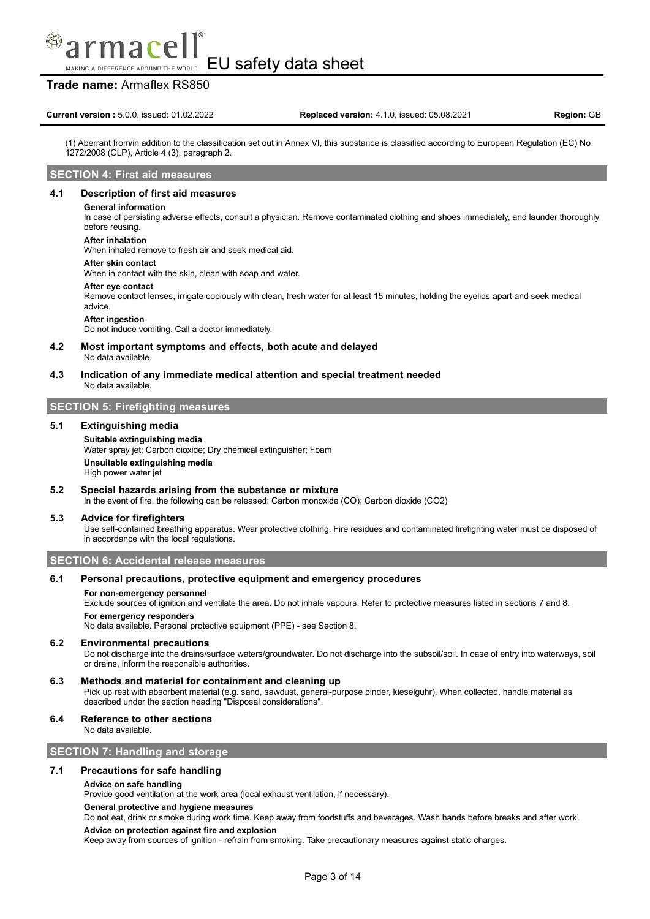macel

### **Trade name:** Armaflex RS850

(1) Aberrant from/in addition to the classification set out in Annex VI, this substance is classified according to European Regulation (EC) No 1272/2008 (CLP), Article 4 (3), paragraph 2.

### **SECTION 4: First aid measures**

### **4.1 Description of first aid measures**

#### **General information**

In case of persisting adverse effects, consult a physician. Remove contaminated clothing and shoes immediately, and launder thoroughly before reusing.

#### **After inhalation**

When inhaled remove to fresh air and seek medical aid.

#### **After skin contact**

When in contact with the skin, clean with soap and water.

#### **After eye contact**

Remove contact lenses, irrigate copiously with clean, fresh water for at least 15 minutes, holding the eyelids apart and seek medical advice.

#### **After ingestion**

Do not induce vomiting. Call a doctor immediately.

#### **4.2 Most important symptoms and effects, both acute and delayed** No data available.

**4.3 Indication of any immediate medical attention and special treatment needed** No data available.

### **SECTION 5: Firefighting measures**

### **5.1 Extinguishing media**

#### **Suitable extinguishing media**

Water spray jet; Carbon dioxide; Dry chemical extinguisher; Foam **Unsuitable extinguishing media** High power water jet

### **5.2 Special hazards arising from the substance or mixture**

In the event of fire, the following can be released: Carbon monoxide (CO); Carbon dioxide (CO2)

### **5.3 Advice for firefighters**

Use self-contained breathing apparatus. Wear protective clothing. Fire residues and contaminated firefighting water must be disposed of in accordance with the local regulations.

### **SECTION 6: Accidental release measures**

### **6.1 Personal precautions, protective equipment and emergency procedures**

#### **For non-emergency personnel**

Exclude sources of ignition and ventilate the area. Do not inhale vapours. Refer to protective measures listed in sections 7 and 8. **For emergency responders**

No data available. Personal protective equipment (PPE) - see Section 8.

#### **6.2 Environmental precautions**

Do not discharge into the drains/surface waters/groundwater. Do not discharge into the subsoil/soil. In case of entry into waterways, soil or drains, inform the responsible authorities.

### **6.3 Methods and material for containment and cleaning up**

Pick up rest with absorbent material (e.g. sand, sawdust, general-purpose binder, kieselguhr). When collected, handle material as described under the section heading "Disposal considerations".

### **6.4 Reference to other sections**

No data available.

### **SECTION 7: Handling and storage**

### **7.1 Precautions for safe handling**

#### **Advice on safe handling**

Provide good ventilation at the work area (local exhaust ventilation, if necessary).

### **General protective and hygiene measures**

Do not eat, drink or smoke during work time. Keep away from foodstuffs and beverages. Wash hands before breaks and after work.

### **Advice on protection against fire and explosion**

Keep away from sources of ignition - refrain from smoking. Take precautionary measures against static charges.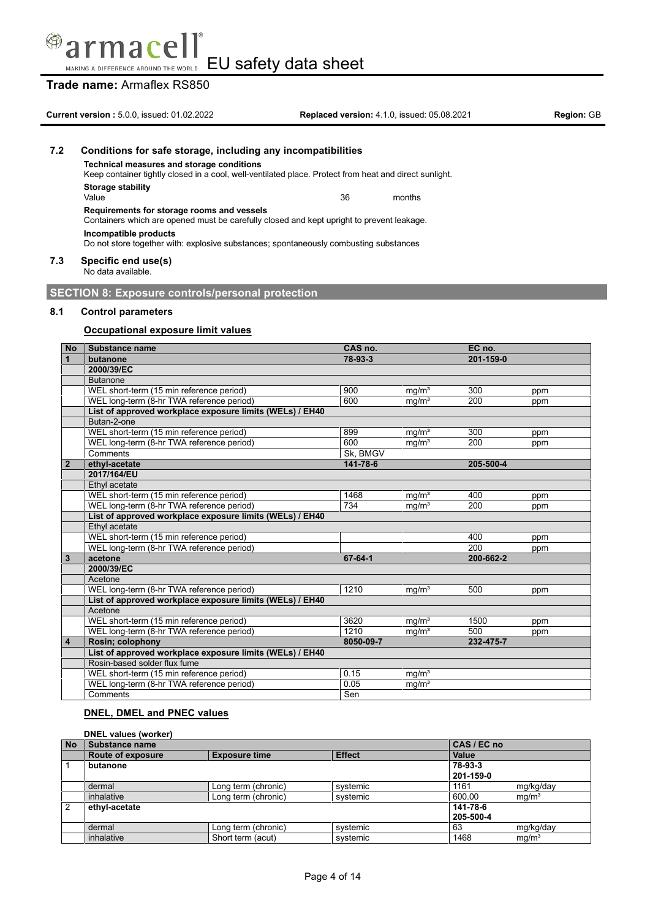

MAKING A DIFFERENCE AROUND THE WORLD EU safety data sheet

# **Trade name:** Armaflex RS850

|     | <b>Current version: 5.0.0, issued: 01.02.2022</b>                                                                                                   | <b>Replaced version: 4.1.0. issued: 05.08.2021</b> |        | <b>Region: GB</b> |  |  |
|-----|-----------------------------------------------------------------------------------------------------------------------------------------------------|----------------------------------------------------|--------|-------------------|--|--|
| 7.2 | Conditions for safe storage, including any incompatibilities                                                                                        |                                                    |        |                   |  |  |
|     | Technical measures and storage conditions<br>Keep container tightly closed in a cool, well-ventilated place. Protect from heat and direct sunlight. |                                                    |        |                   |  |  |
|     | Storage stability<br>Value                                                                                                                          | 36                                                 | months |                   |  |  |
|     | Requirements for storage rooms and vessels<br>Containers which are opened must be carefully closed and kept upright to prevent leakage.             |                                                    |        |                   |  |  |
|     | Incompatible products<br>Do not store together with: explosive substances; spontaneously combusting substances                                      |                                                    |        |                   |  |  |
| 7.3 | Specific end use(s)<br>No data available.                                                                                                           |                                                    |        |                   |  |  |

**SECTION 8: Exposure controls/personal protection**

### **8.1 Control parameters**

### **Occupational exposure limit values**

| <b>No</b>      | Substance name                                           | CAS no.   |                   | EC no.    |     |
|----------------|----------------------------------------------------------|-----------|-------------------|-----------|-----|
| $\mathbf{1}$   | butanone                                                 | 78-93-3   |                   | 201-159-0 |     |
|                | 2000/39/EC                                               |           |                   |           |     |
|                | <b>Butanone</b>                                          |           |                   |           |     |
|                | WEL short-term (15 min reference period)                 | 900       | mq/m <sup>3</sup> | 300       | ppm |
|                | WEL long-term (8-hr TWA reference period)                | 600       | mq/m <sup>3</sup> | 200       | ppm |
|                | List of approved workplace exposure limits (WELs) / EH40 |           |                   |           |     |
|                | Butan-2-one                                              |           |                   |           |     |
|                | WEL short-term (15 min reference period)                 | 899       | mq/m <sup>3</sup> | 300       | ppm |
|                | WEL long-term (8-hr TWA reference period)                | 600       | mg/m <sup>3</sup> | 200       | ppm |
|                | Comments                                                 | Sk, BMGV  |                   |           |     |
| $\overline{2}$ | ethyl-acetate                                            | 141-78-6  |                   | 205-500-4 |     |
|                | 2017/164/EU                                              |           |                   |           |     |
|                | Ethyl acetate                                            |           |                   |           |     |
|                | WEL short-term (15 min reference period)                 | 1468      | mg/m <sup>3</sup> | 400       | ppm |
|                | WEL long-term (8-hr TWA reference period)                | 734       | mq/m <sup>3</sup> | 200       | ppm |
|                | List of approved workplace exposure limits (WELs) / EH40 |           |                   |           |     |
|                | Ethyl acetate                                            |           |                   |           |     |
|                | WEL short-term (15 min reference period)                 |           |                   | 400       | ppm |
|                | WEL long-term (8-hr TWA reference period)                |           |                   | 200       | ppm |
| $\mathbf{3}$   | acetone                                                  | 67-64-1   |                   | 200-662-2 |     |
|                | 2000/39/EC                                               |           |                   |           |     |
|                | Acetone                                                  |           |                   |           |     |
|                | WEL long-term (8-hr TWA reference period)                | 1210      | mq/m <sup>3</sup> | 500       | ppm |
|                | List of approved workplace exposure limits (WELs) / EH40 |           |                   |           |     |
|                | Acetone                                                  |           |                   |           |     |
|                | WEL short-term (15 min reference period)                 | 3620      | mq/m <sup>3</sup> | 1500      | ppm |
|                | WEL long-term (8-hr TWA reference period)                | 1210      | mg/m <sup>3</sup> | 500       | ppm |
| $\overline{4}$ | Rosin; colophony                                         | 8050-09-7 |                   | 232-475-7 |     |
|                | List of approved workplace exposure limits (WELs) / EH40 |           |                   |           |     |
|                | Rosin-based solder flux fume                             |           |                   |           |     |
|                | WEL short-term (15 min reference period)                 | 0.15      | mq/m <sup>3</sup> |           |     |
|                | WEL long-term (8-hr TWA reference period)                | 0.05      | mq/m <sup>3</sup> |           |     |
|                | Comments                                                 | Sen       |                   |           |     |

### **DNEL, DMEL and PNEC values**

### **DNEL values (worker)**

| <b>No</b>      | Substance name           | CAS / EC no          |               |           |                   |
|----------------|--------------------------|----------------------|---------------|-----------|-------------------|
|                | <b>Route of exposure</b> | <b>Exposure time</b> | <b>Effect</b> | Value     |                   |
|                | butanone                 |                      |               | 78-93-3   |                   |
|                |                          |                      |               | 201-159-0 |                   |
|                | dermal                   | Long term (chronic)  | systemic      | 1161      | mg/kg/day         |
|                | inhalative               | Long term (chronic)  | systemic      | 600.00    | ma/m <sup>3</sup> |
| $\overline{2}$ | ethyl-acetate            |                      |               | 141-78-6  |                   |
|                |                          |                      |               | 205-500-4 |                   |
|                | dermal                   | Long term (chronic)  | systemic      | 63        | mg/kg/day         |
|                | inhalative               | Short term (acut)    | systemic      | 1468      | mg/m <sup>3</sup> |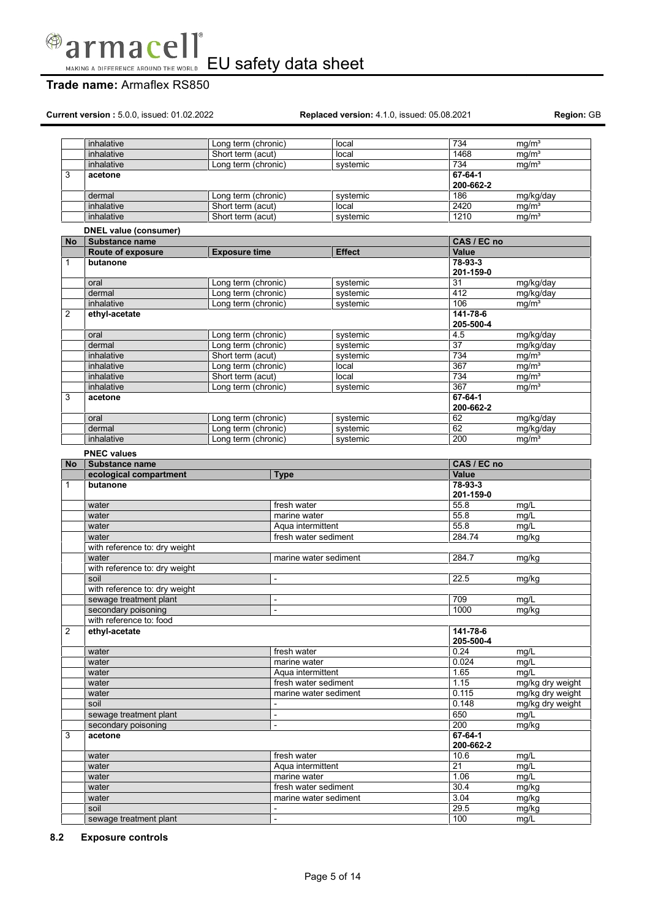

# **Trade name:** Armaflex RS850

**Current version :** 5.0.0, issued: 01.02.2022 **Replaced version:** 4.1.0, issued: 05.08.2021 **Region:** GB

|                | inhalative                    | Long term (chronic)          |                                               | local         | 734              |                            | mg/m <sup>3</sup> |
|----------------|-------------------------------|------------------------------|-----------------------------------------------|---------------|------------------|----------------------------|-------------------|
|                | inhalative                    | Short term (acut)            |                                               | local         |                  | 1468                       | mg/m <sup>3</sup> |
|                | inhalative                    | Long term (chronic)          |                                               | systemic      | 734              |                            | mq/m <sup>3</sup> |
| 3              | acetone                       |                              |                                               |               |                  | 67-64-1                    |                   |
|                |                               |                              |                                               |               |                  | 200-662-2                  |                   |
|                | dermal                        | Long term (chronic)          |                                               | systemic      | 186              |                            | mg/kg/day         |
|                | inhalative                    | Short term (acut)            |                                               | local         | 2420             |                            | mg/m <sup>3</sup> |
|                | inhalative                    | Short term (acut)            |                                               | systemic      |                  | 1210                       | mg/m <sup>3</sup> |
|                | <b>DNEL value (consumer)</b>  |                              |                                               |               |                  |                            |                   |
| No             | Substance name                |                              |                                               |               |                  | CAS / EC no                |                   |
|                | Route of exposure             | <b>Exposure time</b>         |                                               | <b>Effect</b> |                  | Value                      |                   |
| $\mathbf{1}$   | butanone                      |                              |                                               |               |                  | 78-93-3                    |                   |
|                |                               |                              |                                               |               |                  | 201-159-0                  |                   |
|                | oral                          | Long term (chronic)          |                                               | systemic      | 31               |                            | mg/kg/day         |
|                | dermal                        | Long term (chronic)          |                                               | systemic      | 412              |                            | mg/kg/day         |
|                | inhalative                    | Long term (chronic)          |                                               | systemic      | 106              |                            | mq/m <sup>3</sup> |
| $\overline{2}$ | ethyl-acetate                 |                              |                                               |               |                  | $141 - 78 - 6$             |                   |
|                |                               |                              |                                               |               |                  | 205-500-4                  |                   |
|                | oral                          | Long term (chronic)          |                                               | systemic      | 4.5              |                            | mg/kg/day         |
|                | dermal                        | Long term (chronic)          |                                               | systemic      | 37               |                            | mg/kg/day         |
|                | inhalative                    | Short term (acut)            |                                               | systemic      | 734              |                            | ma/m <sup>3</sup> |
|                | inhalative                    | Long term (chronic)          |                                               | local         | $\overline{367}$ |                            | mg/m <sup>3</sup> |
|                | inhalative                    | Short term (acut)            |                                               | local         | 734              |                            | mg/m <sup>3</sup> |
|                | inhalative                    | Long term (chronic)          |                                               | systemic      | 367              |                            | mq/m <sup>3</sup> |
| 3              | acetone                       |                              |                                               |               |                  | 67-64-1<br>200-662-2       |                   |
|                |                               |                              |                                               |               |                  |                            |                   |
|                | oral<br>dermal                | Long term (chronic)          |                                               | systemic      | 62<br>62         |                            | mg/kg/day         |
|                |                               | Long term (chronic)          |                                               | systemic      |                  |                            | mg/kg/day         |
|                | inhalative                    | Long term (chronic)          |                                               | systemic      | 200              |                            | mq/m <sup>3</sup> |
|                | <b>PNEC values</b>            |                              |                                               |               |                  |                            |                   |
| No             | <b>Substance name</b>         |                              |                                               |               |                  | CAS / EC no                |                   |
|                | ecological compartment        |                              | <b>Type</b>                                   |               |                  | Value                      |                   |
| $\mathbf{1}$   | butanone                      |                              |                                               |               |                  | 78-93-3                    |                   |
|                |                               |                              |                                               |               |                  | 201-159-0                  |                   |
|                | water                         |                              | fresh water                                   |               | 55.8             |                            | mg/L              |
|                | water                         |                              | marine water                                  |               | 55.8             |                            | mg/L              |
|                | water                         |                              | Aqua intermittent                             |               | 55.8             |                            | mg/L              |
|                | water                         |                              | fresh water sediment                          |               |                  | 284.74                     | mg/kg             |
|                | with reference to: dry weight |                              |                                               |               |                  |                            |                   |
|                | water                         |                              | marine water sediment                         |               |                  | 284.7                      | mg/kg             |
|                | with reference to: dry weight |                              |                                               |               |                  |                            |                   |
|                | soil                          |                              | $\overline{a}$                                |               | 22.5             |                            | mg/kg             |
|                | with reference to: dry weight |                              |                                               |               |                  |                            |                   |
|                | sewage treatment plant        | $\qquad \qquad \blacksquare$ |                                               |               | 709              |                            | mg/L              |
|                | secondary poisoning           |                              | $\overline{a}$                                |               | 1000             |                            | mg/kg             |
|                | with reference to: food       |                              |                                               |               |                  |                            |                   |
| $\overline{2}$ | ethyl-acetate                 |                              |                                               |               |                  | 141-78-6                   |                   |
|                |                               |                              |                                               |               |                  | 205-500-4                  |                   |
|                | water                         |                              | fresh water                                   |               | 0.24             |                            | mg/L              |
|                | water                         |                              | marine water                                  |               |                  | 0.024                      | mg/L              |
|                | water                         |                              | Aqua intermittent                             |               | 1.65             |                            | mq/L              |
|                | water                         |                              | fresh water sediment<br>marine water sediment |               | 1.15             |                            | mg/kg dry weight  |
|                | water                         |                              |                                               |               |                  | 0.115                      | mg/kg dry weight  |
|                | soil                          |                              |                                               |               |                  | 0.148                      | mg/kg dry weight  |
|                | sewage treatment plant        |                              | $\overline{\phantom{0}}$<br>L.                |               | 650              |                            | mg/L              |
|                | secondary poisoning           |                              |                                               |               | 200              |                            | mg/kg             |
| 3              | acetone                       |                              |                                               |               |                  | $67 - 64 - 1$<br>200-662-2 |                   |
|                |                               |                              |                                               |               | 10.6             |                            |                   |
|                | water                         |                              | fresh water                                   |               | $\overline{21}$  |                            | mg/L<br>mg/L      |
|                | water                         |                              | Aqua intermittent                             |               | 1.06             |                            |                   |
|                | water                         |                              | marine water                                  |               |                  |                            | mg/L              |
|                | water                         |                              | fresh water sediment<br>marine water sediment |               | 30.4<br>3.04     |                            | mg/kg<br>mg/kg    |
|                | water<br>soil                 |                              |                                               |               | 29.5             |                            |                   |
|                |                               |                              | $\overline{\phantom{0}}$                      |               | 100              |                            | mg/kg<br>mg/L     |
|                | sewage treatment plant        |                              | $\overline{\phantom{0}}$                      |               |                  |                            |                   |

### **8.2 Exposure controls**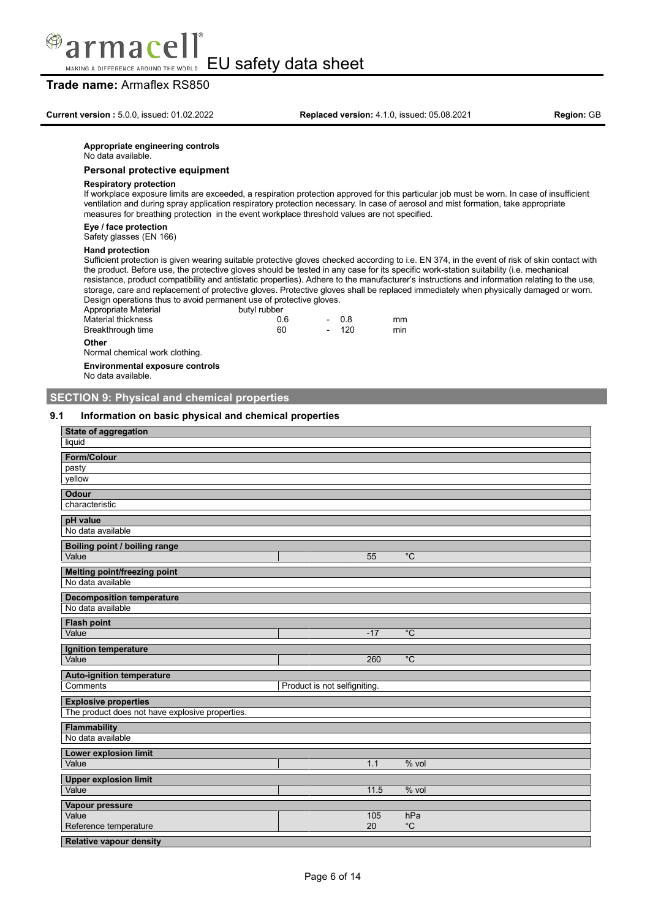

**Trade name:** Armaflex RS850

#### **Appropriate engineering controls**

No data available.

#### **Personal protective equipment**

### **Respiratory protection**

If workplace exposure limits are exceeded, a respiration protection approved for this particular job must be worn. In case of insufficient ventilation and during spray application respiratory protection necessary. In case of aerosol and mist formation, take appropriate measures for breathing protection in the event workplace threshold values are not specified.

### **Eye / face protection**

Safety glasses (EN 166)

#### **Hand protection**

Sufficient protection is given wearing suitable protective gloves checked according to i.e. EN 374, in the event of risk of skin contact with the product. Before use, the protective gloves should be tested in any case for its specific work-station suitability (i.e. mechanical resistance, product compatibility and antistatic properties). Adhere to the manufacturer's instructions and information relating to the use, storage, care and replacement of protective gloves. Protective gloves shall be replaced immediately when physically damaged or worn. Design operations thus to avoid permanent use of protective gloves.

| Appropriate Material | butyl rubber |        |     |
|----------------------|--------------|--------|-----|
| Material thickness   | 0 6          | - 08   | mm  |
| Breakthrough time    | 60           | $-120$ | min |
| Other                |              |        |     |

### Normal chemical work clothing.

**Environmental exposure controls**

No data available.

### **SECTION 9: Physical and chemical properties**

### **9.1 Information on basic physical and chemical properties**

| <b>State of aggregation</b>                     |                              |       |                |
|-------------------------------------------------|------------------------------|-------|----------------|
| liquid                                          |                              |       |                |
| <b>Form/Colour</b>                              |                              |       |                |
| pasty                                           |                              |       |                |
| yellow                                          |                              |       |                |
| <b>Odour</b>                                    |                              |       |                |
| characteristic                                  |                              |       |                |
| pH value                                        |                              |       |                |
| No data available                               |                              |       |                |
| Boiling point / boiling range                   |                              |       |                |
| Value                                           |                              | 55    | $\overline{C}$ |
| <b>Melting point/freezing point</b>             |                              |       |                |
| No data available                               |                              |       |                |
| <b>Decomposition temperature</b>                |                              |       |                |
| No data available                               |                              |       |                |
| <b>Flash point</b>                              |                              |       |                |
| Value                                           |                              | $-17$ | $\overline{C}$ |
| Ignition temperature                            |                              |       |                |
| Value                                           |                              | 260   | $\overline{C}$ |
| <b>Auto-ignition temperature</b>                |                              |       |                |
| Comments                                        | Product is not selfigniting. |       |                |
| <b>Explosive properties</b>                     |                              |       |                |
| The product does not have explosive properties. |                              |       |                |
| <b>Flammability</b>                             |                              |       |                |
| No data available                               |                              |       |                |
| Lower explosion limit                           |                              |       |                |
| Value                                           |                              | 1.1   | $%$ vol        |
| <b>Upper explosion limit</b>                    |                              |       |                |
| Value                                           |                              | 11.5  | $%$ vol        |
| Vapour pressure                                 |                              |       |                |
| Value                                           |                              | 105   | hPa            |
| Reference temperature                           |                              | 20    | $^{\circ}C$    |
| <b>Relative vapour density</b>                  |                              |       |                |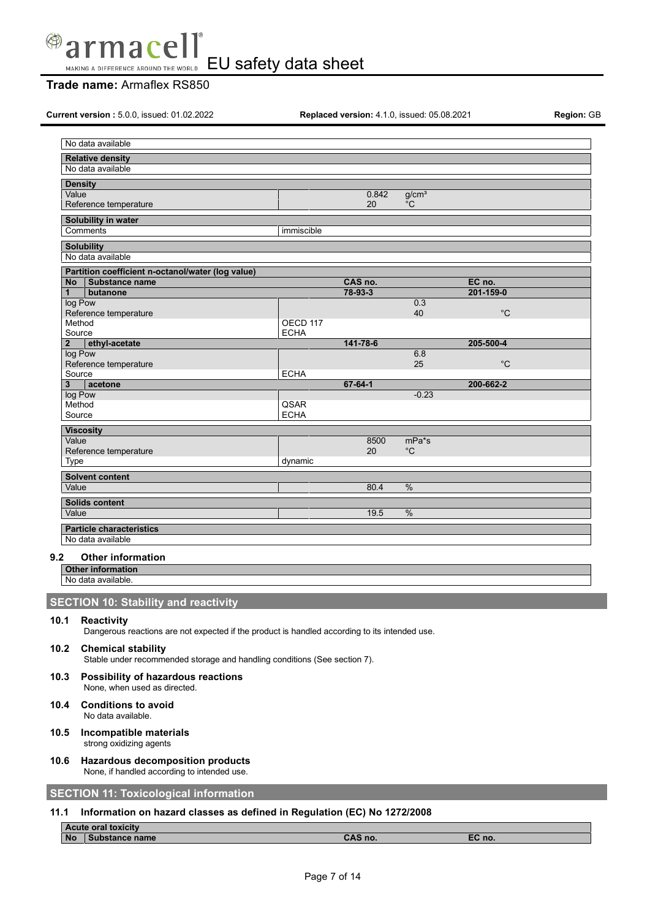

# **Trade name:** Armaflex RS850

**Current version :** 5.0.0, issued: 01.02.2022 **Replaced version:** 4.1.0, issued: 05.08.2021 **Region:** GB

| No data available                                                                                                   |             |          |                   |             |  |
|---------------------------------------------------------------------------------------------------------------------|-------------|----------|-------------------|-------------|--|
| <b>Relative density</b>                                                                                             |             |          |                   |             |  |
| No data available                                                                                                   |             |          |                   |             |  |
| <b>Density</b>                                                                                                      |             |          |                   |             |  |
| Value                                                                                                               |             | 0.842    | g/cm <sup>3</sup> |             |  |
| Reference temperature                                                                                               |             | 20       | °C                |             |  |
|                                                                                                                     |             |          |                   |             |  |
| Solubility in water                                                                                                 |             |          |                   |             |  |
| Comments                                                                                                            | immiscible  |          |                   |             |  |
| <b>Solubility</b>                                                                                                   |             |          |                   |             |  |
| No data available                                                                                                   |             |          |                   |             |  |
|                                                                                                                     |             |          |                   |             |  |
| Partition coefficient n-octanol/water (log value)                                                                   |             | CAS no.  |                   | EC no.      |  |
| <b>No</b><br><b>Substance name</b><br>$\mathbf{1}$                                                                  |             | 78-93-3  |                   | 201-159-0   |  |
| butanone<br>log Pow                                                                                                 |             |          | 0.3               |             |  |
| Reference temperature                                                                                               |             |          | 40                | $^{\circ}C$ |  |
| Method                                                                                                              | OECD 117    |          |                   |             |  |
| Source                                                                                                              | <b>ECHA</b> |          |                   |             |  |
| ethyl-acetate<br>$\overline{2}$                                                                                     |             | 141-78-6 |                   | 205-500-4   |  |
| log Pow                                                                                                             |             |          | 6.8               |             |  |
| Reference temperature                                                                                               |             |          | 25                | $^{\circ}C$ |  |
| Source                                                                                                              | <b>ECHA</b> |          |                   |             |  |
| 3<br>acetone                                                                                                        |             | 67-64-1  |                   | 200-662-2   |  |
| log Pow                                                                                                             |             |          | $-0.23$           |             |  |
| Method                                                                                                              | QSAR        |          |                   |             |  |
| Source                                                                                                              | <b>ECHA</b> |          |                   |             |  |
| <b>Viscosity</b>                                                                                                    |             |          |                   |             |  |
| Value                                                                                                               |             | 8500     | $mPa*$ s          |             |  |
|                                                                                                                     |             | 20       | $^{\circ}C$       |             |  |
|                                                                                                                     |             |          |                   |             |  |
| Reference temperature                                                                                               | dynamic     |          |                   |             |  |
| Type                                                                                                                |             |          |                   |             |  |
| <b>Solvent content</b>                                                                                              |             |          |                   |             |  |
| Value                                                                                                               |             | 80.4     | %                 |             |  |
| Solids content                                                                                                      |             |          |                   |             |  |
| Value                                                                                                               |             | 19.5     | %                 |             |  |
|                                                                                                                     |             |          |                   |             |  |
| <b>Particle characteristics</b>                                                                                     |             |          |                   |             |  |
| No data available                                                                                                   |             |          |                   |             |  |
| 9.2<br><b>Other information</b>                                                                                     |             |          |                   |             |  |
| <b>Other information</b>                                                                                            |             |          |                   |             |  |
| No data available.                                                                                                  |             |          |                   |             |  |
|                                                                                                                     |             |          |                   |             |  |
| <b>SECTION 10: Stability and reactivity</b>                                                                         |             |          |                   |             |  |
|                                                                                                                     |             |          |                   |             |  |
| 10.1<br>Reactivity<br>Dangerous reactions are not expected if the product is handled according to its intended use. |             |          |                   |             |  |

**10.2 Chemical stability** Stable under recommended storage and handling conditions (See section 7).

- **10.3 Possibility of hazardous reactions** None, when used as directed.
- **10.4 Conditions to avoid** No data available.
- **10.5 Incompatible materials** strong oxidizing agents
- **10.6 Hazardous decomposition products** None, if handled according to intended use.

## **SECTION 11: Toxicological information**

### **11.1 Information on hazard classes as defined in Regulation (EC) No 1272/2008**

|           | <b>Acute oral toxicity</b> |         |        |
|-----------|----------------------------|---------|--------|
| <b>No</b> | <b>`ubstance name</b> ∶    | CAS no. | EC no. |
|           |                            |         |        |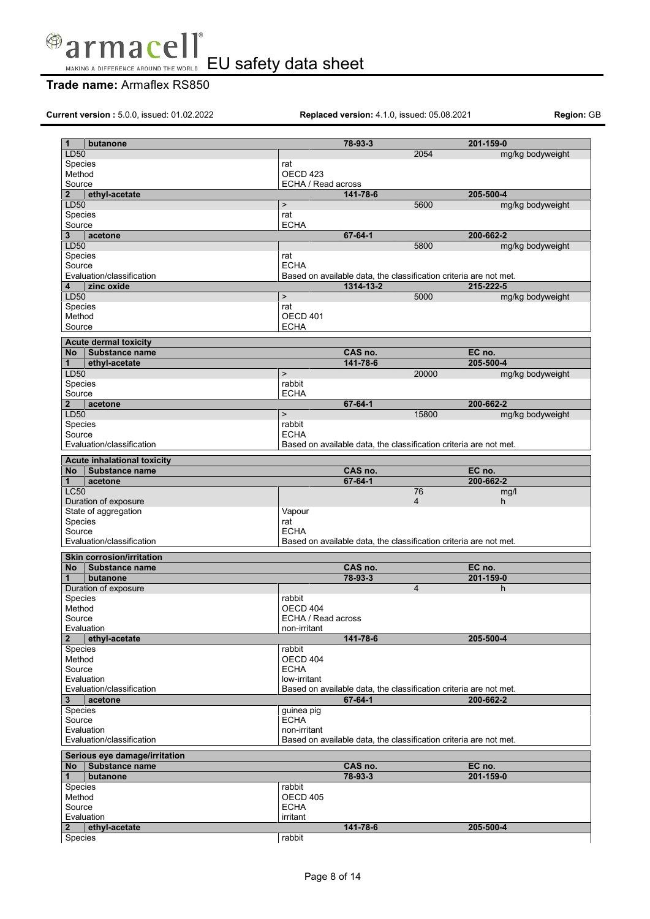

# **Trade name:** Armaflex RS850

**Current version :** 5.0.0, issued: 01.02.2022 **Replaced version:** 4.1.0, issued: 05.08.2021 **Region:** GB

| 1<br>butanone                      |                     | 78-93-3                                                           |                | 201-159-0        |
|------------------------------------|---------------------|-------------------------------------------------------------------|----------------|------------------|
| LD50                               |                     |                                                                   | 2054           | mg/kg bodyweight |
| Species                            | rat                 |                                                                   |                |                  |
| Method                             | OECD <sub>423</sub> |                                                                   |                |                  |
| Source                             | ECHA / Read across  |                                                                   |                |                  |
| $\overline{2}$<br>ethyl-acetate    |                     | 141-78-6                                                          |                | 205-500-4        |
| LD50                               | $\,$                |                                                                   | 5600           | mg/kg bodyweight |
| Species                            | rat                 |                                                                   |                |                  |
| Source                             | <b>ECHA</b>         |                                                                   |                |                  |
| 3<br>acetone                       |                     | $67 - 64 - 1$                                                     |                | 200-662-2        |
| LD50                               |                     |                                                                   | 5800           | mg/kg bodyweight |
| Species                            | rat                 |                                                                   |                |                  |
| Source                             | <b>ECHA</b>         |                                                                   |                |                  |
| Evaluation/classification          |                     | Based on available data, the classification criteria are not met. |                |                  |
| zinc oxide<br>4                    |                     | 1314-13-2                                                         |                | 215-222-5        |
| LD50                               | $\mathbf{r}$        |                                                                   | 5000           | mg/kg bodyweight |
| Species                            | rat                 |                                                                   |                |                  |
| Method                             | OECD 401            |                                                                   |                |                  |
| Source                             | ECHA                |                                                                   |                |                  |
| <b>Acute dermal toxicity</b>       |                     |                                                                   |                |                  |
| <b>No</b><br><b>Substance name</b> |                     | CAS no.                                                           |                | EC no.           |
| $\mathbf{1}$<br>ethyl-acetate      |                     | 141-78-6                                                          |                | 205-500-4        |
| LD50                               | $\geq$              |                                                                   | 20000          | mg/kg bodyweight |
| Species                            | rabbit              |                                                                   |                |                  |
| Source                             | <b>ECHA</b>         |                                                                   |                |                  |
| $\overline{2}$<br>acetone          |                     | 67-64-1                                                           |                | 200-662-2        |
| LD50                               | $\, > \,$           |                                                                   | 15800          | mg/kg bodyweight |
| Species                            | rabbit              |                                                                   |                |                  |
| Source                             | <b>ECHA</b>         |                                                                   |                |                  |
| Evaluation/classification          |                     | Based on available data, the classification criteria are not met. |                |                  |
|                                    |                     |                                                                   |                |                  |
| <b>Acute inhalational toxicity</b> |                     |                                                                   |                |                  |
| <b>No</b><br><b>Substance name</b> |                     | CAS no.                                                           |                | EC no.           |
| $\mathbf{1}$<br>acetone            |                     | 67-64-1                                                           |                | 200-662-2        |
| <b>LC50</b>                        |                     |                                                                   | 76             | mg/l             |
| Duration of exposure               |                     |                                                                   | 4              | h.               |
| State of aggregation               | Vapour              |                                                                   |                |                  |
| Species                            | rat                 |                                                                   |                |                  |
| Source                             | <b>ECHA</b>         |                                                                   |                |                  |
| Evaluation/classification          |                     | Based on available data, the classification criteria are not met. |                |                  |
| <b>Skin corrosion/irritation</b>   |                     |                                                                   |                |                  |
| Substance name<br>No               |                     | CAS no.                                                           |                | EC no.           |
| butanone<br>1                      |                     | 78-93-3                                                           |                | 201-159-0        |
| Duration of exposure               |                     |                                                                   | $\overline{4}$ | h.               |
| Species                            | rabbit              |                                                                   |                |                  |
| Method                             | OECD 404            |                                                                   |                |                  |
| Source                             | ECHA / Read across  |                                                                   |                |                  |
| Evaluation                         | non-irritant        |                                                                   |                |                  |
| $\overline{2}$<br>ethyl-acetate    |                     | 141-78-6                                                          |                | 205-500-4        |
| <b>Species</b>                     | rabbit              |                                                                   |                |                  |
| Method                             | OECD 404            |                                                                   |                |                  |
| Source                             | <b>ECHA</b>         |                                                                   |                |                  |
| Evaluation                         | low-irritant        |                                                                   |                |                  |
| Evaluation/classification          |                     | Based on available data, the classification criteria are not met. |                |                  |
| 3<br>acetone                       |                     | 67-64-1                                                           |                | 200-662-2        |
| Species                            | guinea pig          |                                                                   |                |                  |
| Source                             | <b>ECHA</b>         |                                                                   |                |                  |
| Evaluation                         | non-irritant        |                                                                   |                |                  |
| Evaluation/classification          |                     | Based on available data, the classification criteria are not met. |                |                  |
| Serious eye damage/irritation      |                     |                                                                   |                |                  |
| Substance name<br>No l             |                     | CAS no.                                                           |                | EC no.           |
| butanone<br>1                      |                     | 78-93-3                                                           |                | 201-159-0        |
| Species                            | rabbit              |                                                                   |                |                  |
| Method                             | OECD 405            |                                                                   |                |                  |
| Source                             | <b>ECHA</b>         |                                                                   |                |                  |
| Evaluation                         | irritant            |                                                                   |                |                  |
| $\mathbf{2}$<br>ethyl-acetate      |                     | 141-78-6                                                          |                | 205-500-4        |
|                                    |                     |                                                                   |                |                  |
| Species                            | rabbit              |                                                                   |                |                  |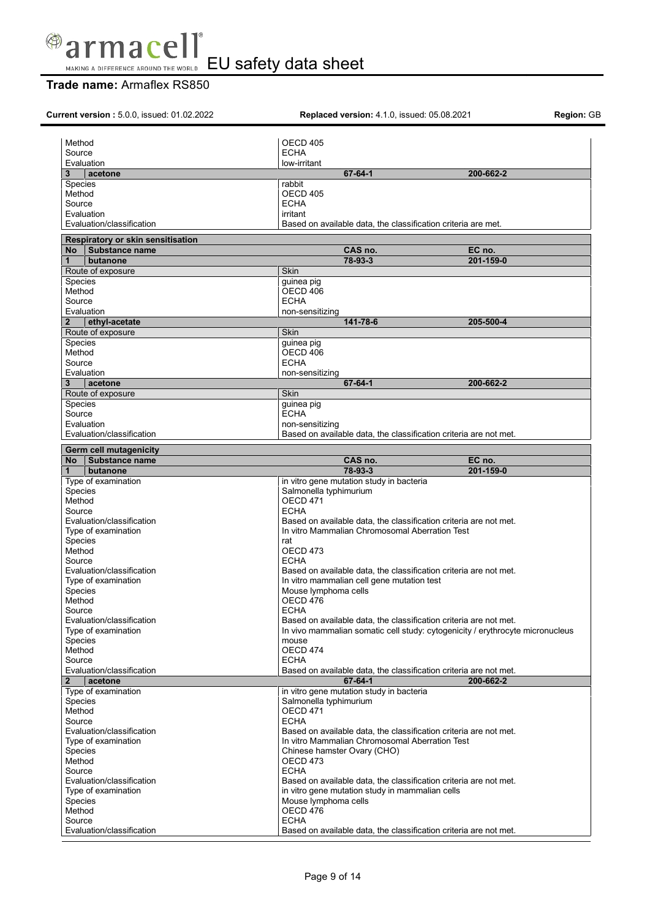

MAKING A DIFFERENCE AROUND THE WORLD EU safety data sheet

# **Trade name:** Armaflex RS850

| <b>Current version: 5.0.0. issued: 01.02.2022</b><br>Replaced version: 4.1.0, issued: 05.08.2021<br>Region: GB |                                                                   |                                                                               |
|----------------------------------------------------------------------------------------------------------------|-------------------------------------------------------------------|-------------------------------------------------------------------------------|
|                                                                                                                |                                                                   |                                                                               |
| Method                                                                                                         | OECD 405                                                          |                                                                               |
| Source                                                                                                         | <b>ECHA</b>                                                       |                                                                               |
| Evaluation                                                                                                     | low-irritant                                                      |                                                                               |
| 3<br>acetone                                                                                                   | $67 - 64 - 1$                                                     | 200-662-2                                                                     |
| Species                                                                                                        | rabbit                                                            |                                                                               |
| Method                                                                                                         | <b>OECD 405</b>                                                   |                                                                               |
| Source                                                                                                         | <b>ECHA</b>                                                       |                                                                               |
| Evaluation                                                                                                     | irritant                                                          |                                                                               |
| Evaluation/classification                                                                                      | Based on available data, the classification criteria are met.     |                                                                               |
|                                                                                                                |                                                                   |                                                                               |
| Respiratory or skin sensitisation                                                                              |                                                                   |                                                                               |
| Substance name<br><b>No</b>                                                                                    | CAS no.                                                           | EC no.                                                                        |
| 1<br>butanone                                                                                                  | 78-93-3                                                           | 201-159-0                                                                     |
| Route of exposure                                                                                              | Skin                                                              |                                                                               |
| Species                                                                                                        | guinea pig                                                        |                                                                               |
| Method                                                                                                         | OECD 406                                                          |                                                                               |
| Source                                                                                                         | <b>ECHA</b>                                                       |                                                                               |
| Evaluation                                                                                                     | non-sensitizing                                                   |                                                                               |
| $\overline{2}$<br>ethyl-acetate                                                                                | 141-78-6                                                          | 205-500-4                                                                     |
| Route of exposure                                                                                              | Skin                                                              |                                                                               |
| <b>Species</b>                                                                                                 | guinea pig                                                        |                                                                               |
| Method                                                                                                         | OECD 406                                                          |                                                                               |
| Source                                                                                                         | <b>ECHA</b>                                                       |                                                                               |
| Evaluation                                                                                                     | non-sensitizing                                                   |                                                                               |
| acetone<br>3                                                                                                   | $67 - 64 - 1$                                                     | 200-662-2                                                                     |
| Route of exposure                                                                                              | Skin                                                              |                                                                               |
| Species                                                                                                        | guinea pig                                                        |                                                                               |
| Source                                                                                                         | <b>ECHA</b>                                                       |                                                                               |
| Evaluation                                                                                                     | non-sensitizing                                                   |                                                                               |
| Evaluation/classification                                                                                      | Based on available data, the classification criteria are not met. |                                                                               |
|                                                                                                                |                                                                   |                                                                               |
| Germ cell mutagenicity                                                                                         |                                                                   |                                                                               |
| <b>No</b><br>Substance name                                                                                    | CAS no.                                                           | EC no.                                                                        |
| butanone<br>1                                                                                                  | 78-93-3                                                           | 201-159-0                                                                     |
| Type of examination                                                                                            | in vitro gene mutation study in bacteria                          |                                                                               |
| Species                                                                                                        | Salmonella typhimurium                                            |                                                                               |
| Method                                                                                                         | OECD 471                                                          |                                                                               |
| Source                                                                                                         | <b>ECHA</b>                                                       |                                                                               |
| Evaluation/classification                                                                                      | Based on available data, the classification criteria are not met. |                                                                               |
| Type of examination                                                                                            | In vitro Mammalian Chromosomal Aberration Test                    |                                                                               |
| Species                                                                                                        | rat                                                               |                                                                               |
| Method                                                                                                         | OECD 473                                                          |                                                                               |
| Source                                                                                                         | <b>ECHA</b>                                                       |                                                                               |
| Evaluation/classification                                                                                      | Based on available data, the classification criteria are not met. |                                                                               |
| Type of examination                                                                                            | In vitro mammalian cell gene mutation test                        |                                                                               |
| Species                                                                                                        | Mouse lymphoma cells                                              |                                                                               |
| Method                                                                                                         | OECD 476                                                          |                                                                               |
| Source                                                                                                         | <b>ECHA</b>                                                       |                                                                               |
| Evaluation/classification                                                                                      | Based on available data, the classification criteria are not met. |                                                                               |
| Type of examination                                                                                            |                                                                   | In vivo mammalian somatic cell study: cytogenicity / erythrocyte micronucleus |
| Species                                                                                                        | mouse                                                             |                                                                               |
| Method                                                                                                         | OECD 474                                                          |                                                                               |
| Source                                                                                                         | <b>ECHA</b>                                                       |                                                                               |
| Evaluation/classification                                                                                      | Based on available data, the classification criteria are not met. |                                                                               |
| acetone<br>$\mathbf{2}$                                                                                        | $67 - 64 - 1$                                                     | 200-662-2                                                                     |
| Type of examination                                                                                            | in vitro gene mutation study in bacteria                          |                                                                               |
| Species                                                                                                        | Salmonella typhimurium                                            |                                                                               |
| Method                                                                                                         | OECD 471                                                          |                                                                               |
| Source                                                                                                         | <b>ECHA</b>                                                       |                                                                               |
| Evaluation/classification                                                                                      | Based on available data, the classification criteria are not met. |                                                                               |
| Type of examination                                                                                            | In vitro Mammalian Chromosomal Aberration Test                    |                                                                               |
| Species                                                                                                        |                                                                   |                                                                               |
|                                                                                                                | Chinese hamster Ovary (CHO)                                       |                                                                               |
| Method                                                                                                         | OECD 473                                                          |                                                                               |
| Source                                                                                                         | <b>ECHA</b>                                                       |                                                                               |
| Evaluation/classification                                                                                      | Based on available data, the classification criteria are not met. |                                                                               |
| Type of examination                                                                                            | in vitro gene mutation study in mammalian cells                   |                                                                               |
| Species                                                                                                        | Mouse lymphoma cells                                              |                                                                               |
| Method                                                                                                         | OECD 476                                                          |                                                                               |
| Source                                                                                                         | <b>ECHA</b>                                                       |                                                                               |
| Evaluation/classification                                                                                      | Based on available data, the classification criteria are not met. |                                                                               |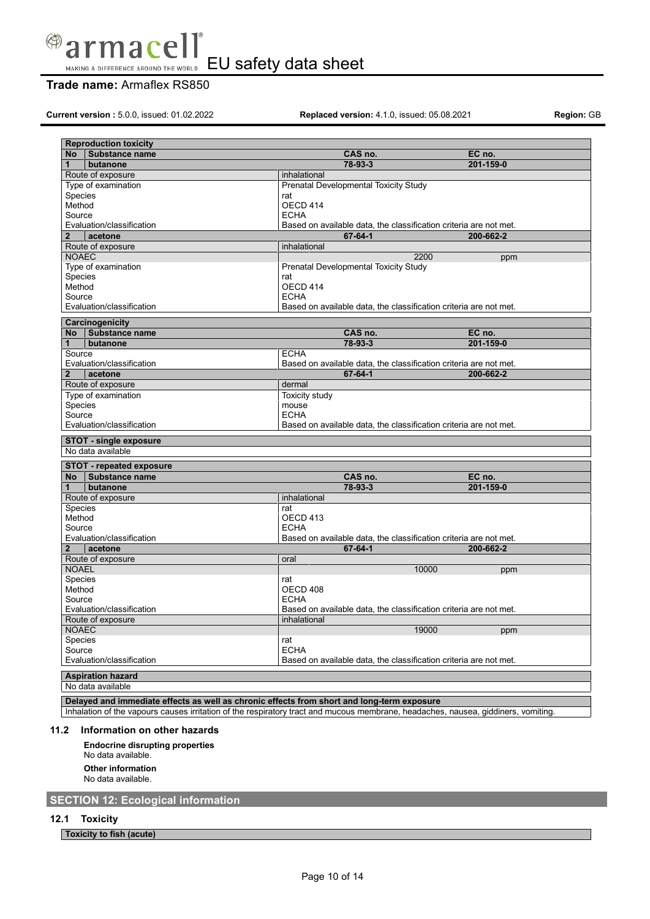

# **Trade name:** Armaflex RS850

**Current version :** 5.0.0, issued: 01.02.2022 **Replaced version:** 4.1.0, issued: 05.08.2021 **Region:** GB

| <b>Reproduction toxicity</b>    |                                                                   |        |           |
|---------------------------------|-------------------------------------------------------------------|--------|-----------|
| <b>No</b><br>Substance name     | CAS no.                                                           | EC no. |           |
| butanone<br>1                   | 78-93-3                                                           |        | 201-159-0 |
| Route of exposure               | inhalational                                                      |        |           |
| Type of examination             | Prenatal Developmental Toxicity Study                             |        |           |
| Species                         | rat                                                               |        |           |
| Method                          | OECD 414                                                          |        |           |
| Source                          | <b>ECHA</b>                                                       |        |           |
| Evaluation/classification       | Based on available data, the classification criteria are not met. |        |           |
| acetone<br>$\overline{2}$       | $67 - 64 - 1$                                                     |        | 200-662-2 |
| Route of exposure               | inhalational                                                      |        |           |
| <b>NOAEC</b>                    |                                                                   | 2200   | ppm       |
| Type of examination             | Prenatal Developmental Toxicity Study                             |        |           |
| <b>Species</b>                  | rat                                                               |        |           |
| Method                          | OECD 414                                                          |        |           |
| Source                          | <b>ECHA</b>                                                       |        |           |
| Evaluation/classification       | Based on available data, the classification criteria are not met. |        |           |
| Carcinogenicity                 |                                                                   |        |           |
| Substance name<br>No            | CAS no.                                                           | EC no. |           |
| $\mathbf{1}$<br>butanone        | 78-93-3                                                           |        | 201-159-0 |
| Source                          | <b>ECHA</b>                                                       |        |           |
| Evaluation/classification       | Based on available data, the classification criteria are not met. |        |           |
| $\overline{2}$<br>acetone       | 67-64-1                                                           |        | 200-662-2 |
| Route of exposure               | dermal                                                            |        |           |
| Type of examination             | Toxicity study                                                    |        |           |
| Species                         | mouse                                                             |        |           |
| Source                          | <b>ECHA</b>                                                       |        |           |
| Evaluation/classification       | Based on available data, the classification criteria are not met. |        |           |
| <b>STOT - single exposure</b>   |                                                                   |        |           |
| No data available               |                                                                   |        |           |
|                                 |                                                                   |        |           |
| <b>STOT - repeated exposure</b> |                                                                   |        |           |
| Substance name<br>No l          | CAS no.                                                           | EC no. |           |
| $\mathbf{1}$<br>butanone        | 78-93-3                                                           |        | 201-159-0 |
| Route of exposure               | inhalational                                                      |        |           |
| <b>Species</b>                  | rat                                                               |        |           |
| Method                          | OECD 413                                                          |        |           |
| Source                          | <b>ECHA</b>                                                       |        |           |
| Evaluation/classification       | Based on available data, the classification criteria are not met. |        |           |
| $\overline{2}$<br>acetone       | $67 - 64 - 1$                                                     |        | 200-662-2 |
| Route of exposure               | oral                                                              |        |           |
| <b>NOAEL</b>                    |                                                                   | 10000  | ppm       |
| Species                         | rat                                                               |        |           |
| Method                          | OECD 408                                                          |        |           |
| Source                          | <b>ECHA</b>                                                       |        |           |
| Evaluation/classification       | Based on available data, the classification criteria are not met. |        |           |
| Route of exposure               | inhalational                                                      |        |           |
| <b>NOAEC</b>                    |                                                                   | 19000  | ppm       |
| Species                         | rat                                                               |        |           |
| Source                          | <b>ECHA</b>                                                       |        |           |
| Evaluation/classification       | Based on available data, the classification criteria are not met. |        |           |
| <b>Aspiration hazard</b>        |                                                                   |        |           |
| No data available               |                                                                   |        |           |
|                                 |                                                                   |        |           |

**Delayed and immediate effects as well as chronic effects from short and long-term exposure**

Inhalation of the vapours causes irritation of the respiratory tract and mucous membrane, headaches, nausea, giddiners, vomiting.

### **11.2 Information on other hazards**

**Endocrine disrupting properties** No data available. **Other information** No data available.

**SECTION 12: Ecological information**

**12.1 Toxicity**

**Toxicity to fish (acute)**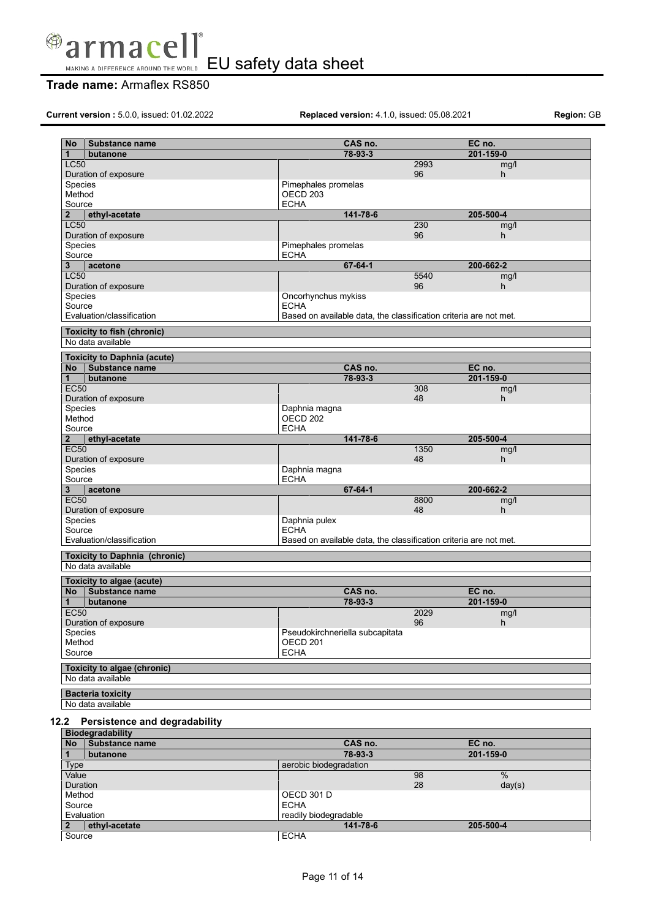

# **Trade name:** Armaflex RS850

**Current version :** 5.0.0, issued: 01.02.2022 **Replaced version:** 4.1.0, issued: 05.08.2021 **Region:** GB

| <b>No</b>        | <b>Substance name</b>                | CAS no.                                                           |           | EC no.    |
|------------------|--------------------------------------|-------------------------------------------------------------------|-----------|-----------|
| 1                | butanone                             | 78-93-3                                                           |           | 201-159-0 |
| <b>LC50</b>      |                                      |                                                                   | 2993      | mg/l      |
|                  | Duration of exposure                 |                                                                   | 96        | h.        |
| Species          |                                      | Pimephales promelas                                               |           |           |
| Method           |                                      | OECD <sub>203</sub>                                               |           |           |
| Source           |                                      | <b>ECHA</b>                                                       |           |           |
| $\overline{2}$   | ethyl-acetate                        | 141-78-6                                                          |           | 205-500-4 |
| <b>LC50</b>      |                                      |                                                                   | 230<br>96 | mg/l<br>h |
| Species          | Duration of exposure                 | Pimephales promelas                                               |           |           |
| Source           |                                      | <b>ECHA</b>                                                       |           |           |
| 3                | acetone                              | $67 - 64 - 1$                                                     |           | 200-662-2 |
| <b>LC50</b>      |                                      |                                                                   | 5540      | mg/l      |
|                  | Duration of exposure                 |                                                                   | 96        | h         |
| Species          |                                      | Oncorhynchus mykiss                                               |           |           |
| Source           |                                      | <b>ECHA</b>                                                       |           |           |
|                  | Evaluation/classification            | Based on available data, the classification criteria are not met. |           |           |
|                  | <b>Toxicity to fish (chronic)</b>    |                                                                   |           |           |
|                  | No data available                    |                                                                   |           |           |
|                  | <b>Toxicity to Daphnia (acute)</b>   |                                                                   |           |           |
| No               | Substance name                       | CAS no.                                                           |           | EC no.    |
| $\mathbf 1$      | butanone                             | 78-93-3                                                           |           | 201-159-0 |
| <b>EC50</b>      |                                      |                                                                   | 308       | mg/l      |
|                  | Duration of exposure                 |                                                                   | 48        | h.        |
| <b>Species</b>   |                                      | Daphnia magna                                                     |           |           |
| Method           |                                      | OECD <sub>202</sub>                                               |           |           |
| Source           |                                      | <b>ECHA</b>                                                       |           |           |
| 2<br><b>EC50</b> | ethyl-acetate                        | 141-78-6                                                          | 1350      | 205-500-4 |
|                  | Duration of exposure                 |                                                                   | 48        | mg/l<br>h |
| Species          |                                      | Daphnia magna                                                     |           |           |
| Source           |                                      | <b>ECHA</b>                                                       |           |           |
| 3                | acetone                              | 67-64-1                                                           |           | 200-662-2 |
| <b>EC50</b>      |                                      |                                                                   | 8800      | mg/l      |
|                  | Duration of exposure                 |                                                                   | 48        | h         |
| Species          |                                      | Daphnia pulex                                                     |           |           |
| Source           |                                      | <b>ECHA</b>                                                       |           |           |
|                  | Evaluation/classification            | Based on available data, the classification criteria are not met. |           |           |
|                  | <b>Toxicity to Daphnia (chronic)</b> |                                                                   |           |           |
|                  | No data available                    |                                                                   |           |           |
|                  | Toxicity to algae (acute)            |                                                                   |           |           |
| No l             | Substance name                       | CAS no.                                                           |           | EC no.    |
| 1                | butanone                             | 78-93-3                                                           |           | 201-159-0 |
| EC50             |                                      |                                                                   | 2029      | mg/l      |
|                  | Duration of exposure                 |                                                                   | 96        | h         |
| Species          |                                      | Pseudokirchneriella subcapitata                                   |           |           |
| Method           |                                      | OECD <sub>201</sub>                                               |           |           |
| Source           |                                      | <b>ECHA</b>                                                       |           |           |
|                  | <b>Toxicity to algae (chronic)</b>   |                                                                   |           |           |
|                  | No data available                    |                                                                   |           |           |
|                  | <b>Bacteria toxicity</b>             |                                                                   |           |           |
|                  | No data available                    |                                                                   |           |           |
|                  |                                      |                                                                   |           |           |

## **12.2 Persistence and degradability**

|                 | <b>Biodegradability</b> |                        |           |  |
|-----------------|-------------------------|------------------------|-----------|--|
| <b>No</b>       | <b>Substance name</b>   | CAS no.                | EC no.    |  |
|                 | butanone                | 78-93-3                | 201-159-0 |  |
| <b>Type</b>     |                         | aerobic biodegradation |           |  |
| Value           |                         | 98                     | $\%$      |  |
| <b>Duration</b> |                         | 28                     | day(s)    |  |
| Method          |                         | OECD 301 D             |           |  |
| Source          |                         | <b>ECHA</b>            |           |  |
|                 | Evaluation              | readily biodegradable  |           |  |
|                 | ethyl-acetate           | 141-78-6               | 205-500-4 |  |
| Source          |                         | <b>ECHA</b>            |           |  |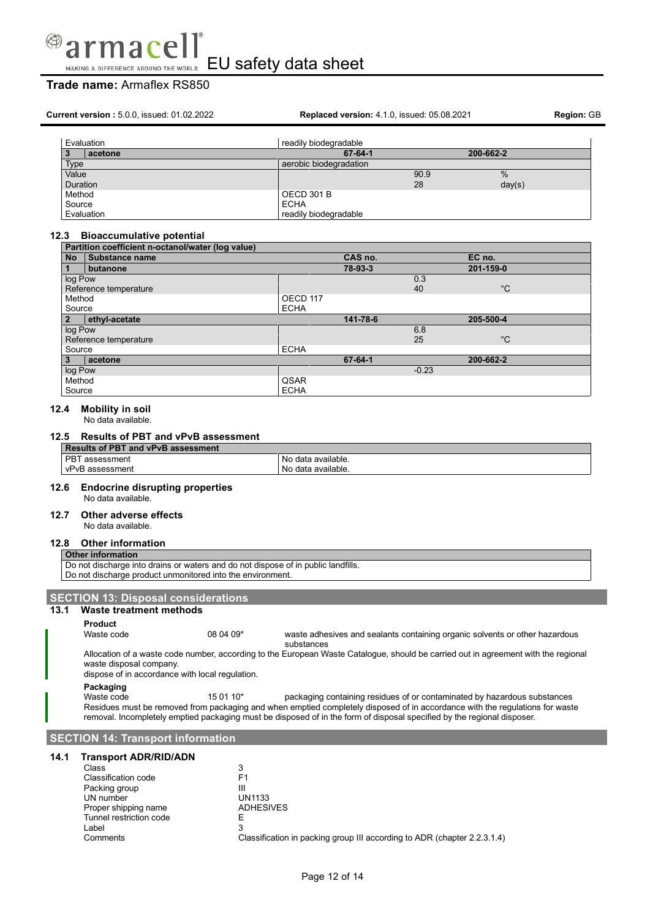

# **Trade name:** Armaflex RS850

**Current version :** 5.0.0, issued: 01.02.2022 **Replaced version:** 4.1.0, issued: 05.08.2021 **Region:** GB Evaluation readily biodegradable<br>3 **acetone** 67-64-1 **3 acetone 67-64-1 200-662-2** Type and a series are according to the series of the series are all the series of the series of the series of the series of the series of the series of the series of the series of the series of the series of the series of Value  $90.9$  % and  $100$  . The contract of  $100$  m and  $100$  m and  $100$  m and  $100$  m and  $100$  m and  $100$  m and  $100$  m and  $100$  m and  $100$  m and  $100$  m and  $100$  m and  $100$  m and  $100$  m and  $100$  m and  $100$  m an Duration 28 day(s)

### **12.3 Bioaccumulative potential**

Method **OECD** 301 B Source ECHA

Evaluation **readily biodegradable** 

| Partition coefficient n-octanol/water (log value) |                                        |             |         |     |             |
|---------------------------------------------------|----------------------------------------|-------------|---------|-----|-------------|
| <b>No</b>                                         | <b>Substance name</b>                  |             | CAS no. |     | EC no.      |
| 1                                                 | butanone                               |             | 78-93-3 |     | 201-159-0   |
| log Pow                                           |                                        |             |         | 0.3 |             |
|                                                   | Reference temperature                  |             |         | 40  | $^{\circ}C$ |
| Method                                            |                                        | OECD 117    |         |     |             |
| Source                                            |                                        | <b>ECHA</b> |         |     |             |
| $\overline{2}$                                    | 141-78-6<br>205-500-4<br>ethyl-acetate |             |         |     |             |
| log Pow                                           |                                        |             |         | 6.8 |             |
| Reference temperature                             |                                        |             |         | 25  | $^{\circ}C$ |
| <b>ECHA</b><br>Source                             |                                        |             |         |     |             |
| 3                                                 | acetone                                |             | 67-64-1 |     | 200-662-2   |
| log Pow                                           |                                        |             | $-0.23$ |     |             |
| Method                                            |                                        | QSAR        |         |     |             |
| Source                                            |                                        | <b>ECHA</b> |         |     |             |

### **12.4 Mobility in soil**

No data available.

### **12.5 Results of PBT and vPvB assessment**

| Results of PBT and vPvB assessment |                    |  |
|------------------------------------|--------------------|--|
| l PBT assessment                   | No data available. |  |
| vPvB assessment                    | No data available. |  |

### **12.6 Endocrine disrupting properties**

No data available.

### **12.7 Other adverse effects**

No data available.

### **12.8 Other information**

**Other information** Do not discharge into drains or waters and do not dispose of in public landfills. Do not discharge product unmonitored into the environment.

### **SECTION 13: Disposal considerations**

**13.1 Waste treatment methods**

#### **Product**

Waste code 08 04 09<sup>\*</sup> waste adhesives and sealants containing organic solvents or other hazardous substances

Allocation of a waste code number, according to the European Waste Catalogue, should be carried out in agreement with the regional waste disposal company.

dispose of in accordance with local regulation.

### **Packaging**

Waste code 15 01 10\* packaging containing residues of or contaminated by hazardous substances Residues must be removed from packaging and when emptied completely disposed of in accordance with the regulations for waste removal. Incompletely emptied packaging must be disposed of in the form of disposal specified by the regional disposer.

### **SECTION 14: Transport information**

### **14.1 Transport ADR/RID/ADN**

| Class                   | 3                                                                        |
|-------------------------|--------------------------------------------------------------------------|
| Classification code     | F1                                                                       |
| Packing group           | Ш                                                                        |
| UN number               | <b>UN1133</b>                                                            |
| Proper shipping name    | <b>ADHESIVES</b>                                                         |
| Tunnel restriction code |                                                                          |
| Label                   | 3                                                                        |
| Comments                | Classification in packing group III according to ADR (chapter 2.2.3.1.4) |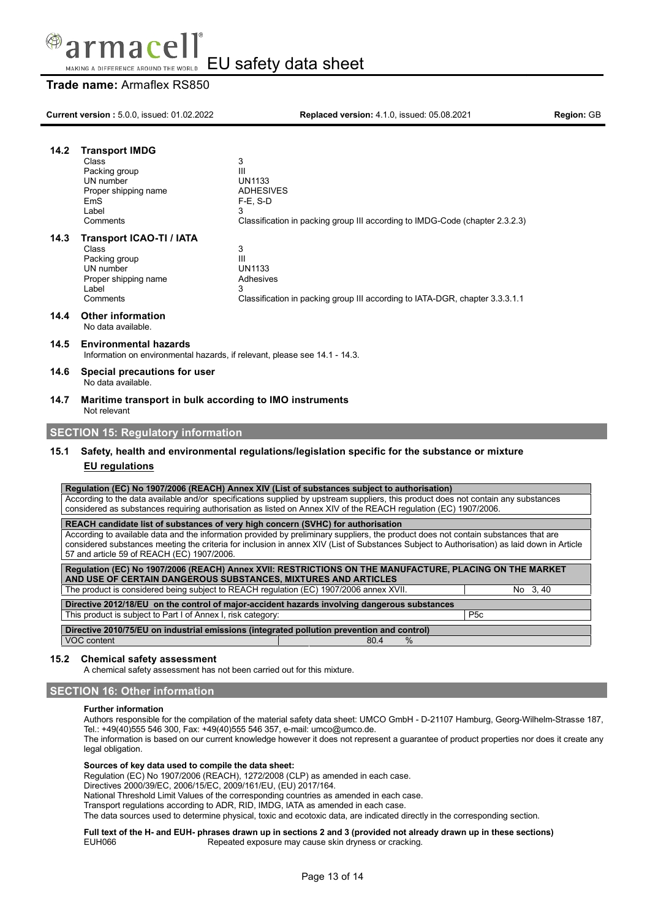

# **Trade name:** Armaflex RS850

| 14.2 | <b>Transport IMDG</b><br>Class<br>Packing group<br>UN number<br>Proper shipping name<br><b>EmS</b><br>Label<br>Comments                                                                                                                                                                                                          | 3<br>Ш<br><b>UN1133</b><br><b>ADHESIVES</b><br>$F-E$ , S-D<br>3<br>Classification in packing group III according to IMDG-Code (chapter 2.3.2.3)                                                                                                                                                                                                       |                 |  |
|------|----------------------------------------------------------------------------------------------------------------------------------------------------------------------------------------------------------------------------------------------------------------------------------------------------------------------------------|-------------------------------------------------------------------------------------------------------------------------------------------------------------------------------------------------------------------------------------------------------------------------------------------------------------------------------------------------------|-----------------|--|
| 14.3 | <b>Transport ICAO-TI / IATA</b><br>Class<br>Packing group<br>UN number<br>Proper shipping name<br>Label<br>Comments                                                                                                                                                                                                              | 3<br>III<br><b>UN1133</b><br>Adhesives<br>3<br>Classification in packing group III according to IATA-DGR, chapter 3.3.3.1.1                                                                                                                                                                                                                           |                 |  |
| 14.4 | <b>Other information</b><br>No data available.                                                                                                                                                                                                                                                                                   |                                                                                                                                                                                                                                                                                                                                                       |                 |  |
| 14.5 | <b>Environmental hazards</b><br>Information on environmental hazards, if relevant, please see 14.1 - 14.3.                                                                                                                                                                                                                       |                                                                                                                                                                                                                                                                                                                                                       |                 |  |
| 14.6 | Special precautions for user<br>No data available.                                                                                                                                                                                                                                                                               |                                                                                                                                                                                                                                                                                                                                                       |                 |  |
| 14.7 | Maritime transport in bulk according to IMO instruments<br>Not relevant                                                                                                                                                                                                                                                          |                                                                                                                                                                                                                                                                                                                                                       |                 |  |
|      | <b>SECTION 15: Regulatory information</b>                                                                                                                                                                                                                                                                                        |                                                                                                                                                                                                                                                                                                                                                       |                 |  |
| 15.1 | <b>EU</b> regulations                                                                                                                                                                                                                                                                                                            | Safety, health and environmental regulations/legislation specific for the substance or mixture                                                                                                                                                                                                                                                        |                 |  |
|      |                                                                                                                                                                                                                                                                                                                                  | Regulation (EC) No 1907/2006 (REACH) Annex XIV (List of substances subject to authorisation)<br>According to the data available and/or specifications supplied by upstream suppliers, this product does not contain any substances<br>considered as substances requiring authorisation as listed on Annex XIV of the REACH requlation (EC) 1907/2006. |                 |  |
|      |                                                                                                                                                                                                                                                                                                                                  | REACH candidate list of substances of very high concern (SVHC) for authorisation                                                                                                                                                                                                                                                                      |                 |  |
|      | According to available data and the information provided by preliminary suppliers, the product does not contain substances that are<br>considered substances meeting the criteria for inclusion in annex XIV (List of Substances Subject to Authorisation) as laid down in Article<br>57 and article 59 of REACH (EC) 1907/2006. |                                                                                                                                                                                                                                                                                                                                                       |                 |  |
|      |                                                                                                                                                                                                                                                                                                                                  | Regulation (EC) No 1907/2006 (REACH) Annex XVII: RESTRICTIONS ON THE MANUFACTURE, PLACING ON THE MARKET<br>AND USE OF CERTAIN DANGEROUS SUBSTANCES, MIXTURES AND ARTICLES<br>The product is considered being subject to REACH regulation (EC) 1907/2006 annex XVII.                                                                                   | No 3,40         |  |
|      |                                                                                                                                                                                                                                                                                                                                  | Directive 2012/18/EU on the control of major-accident hazards involving dangerous substances                                                                                                                                                                                                                                                          |                 |  |
|      | This product is subject to Part I of Annex I, risk category:                                                                                                                                                                                                                                                                     |                                                                                                                                                                                                                                                                                                                                                       | P <sub>5c</sub> |  |

**Directive 2010/75/EU on industrial emissions (integrated pollution prevention and control)** VOC content 80.4 %

### **15.2 Chemical safety assessment**

A chemical safety assessment has not been carried out for this mixture.

### **SECTION 16: Other information**

### **Further information**

Authors responsible for the compilation of the material safety data sheet: UMCO GmbH - D-21107 Hamburg, Georg-Wilhelm-Strasse 187, Tel.: +49(40)555 546 300, Fax: +49(40)555 546 357, e-mail: umco@umco.de.

The information is based on our current knowledge however it does not represent a guarantee of product properties nor does it create any legal obligation.

#### **Sources of key data used to compile the data sheet:**

Regulation (EC) No 1907/2006 (REACH), 1272/2008 (CLP) as amended in each case.

Directives 2000/39/EC, 2006/15/EC, 2009/161/EU, (EU) 2017/164.

National Threshold Limit Values of the corresponding countries as amended in each case.

Transport regulations according to ADR, RID, IMDG, IATA as amended in each case.

The data sources used to determine physical, toxic and ecotoxic data, are indicated directly in the corresponding section.

#### Full text of the H- and EUH- phrases drawn up in sections 2 and 3 (provided not already drawn up in these sections)<br>EUH066 Repeated exposure may cause skin dryness or cracking. Repeated exposure may cause skin dryness or cracking.